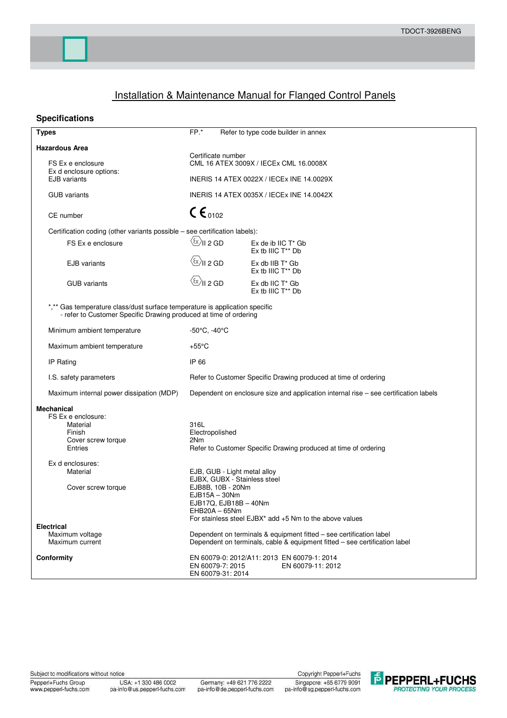# **Installation & Maintenance Manual for Flanged Control Panels**

## **Specifications**

| <b>Types</b>                                                                                                                                     | $FP.*$                                                                                                                                                                                                             | Refer to type code builder in annex                             |  |  |  |  |  |  |
|--------------------------------------------------------------------------------------------------------------------------------------------------|--------------------------------------------------------------------------------------------------------------------------------------------------------------------------------------------------------------------|-----------------------------------------------------------------|--|--|--|--|--|--|
| <b>Hazardous Area</b>                                                                                                                            | Certificate number                                                                                                                                                                                                 |                                                                 |  |  |  |  |  |  |
| FS Ex e enclosure<br>Ex d enclosure options:                                                                                                     | CML 16 ATEX 3009X / IECEx CML 16.0008X                                                                                                                                                                             |                                                                 |  |  |  |  |  |  |
| <b>EJB</b> variants                                                                                                                              | INERIS 14 ATEX 0022X / IECEX INE 14.0029X                                                                                                                                                                          |                                                                 |  |  |  |  |  |  |
| <b>GUB</b> variants                                                                                                                              | INERIS 14 ATEX 0035X / IECEx INE 14.0042X                                                                                                                                                                          |                                                                 |  |  |  |  |  |  |
| CE number                                                                                                                                        | $C \epsilon_{0102}$                                                                                                                                                                                                |                                                                 |  |  |  |  |  |  |
| Certification coding (other variants possible - see certification labels):                                                                       |                                                                                                                                                                                                                    |                                                                 |  |  |  |  |  |  |
| FS Ex e enclosure                                                                                                                                | $\langle \widetilde{\text{c}} \rangle$ II 2 GD                                                                                                                                                                     | $Ex$ de ib IIC $T^*$ Gb<br>Ex tb IIIC T <sup>**</sup> Db        |  |  |  |  |  |  |
| <b>EJB</b> variants                                                                                                                              | $\langle \overline{\mathfrak{c}} \rangle$ II 2 GD                                                                                                                                                                  | $Ex$ db IIB $T^*$ Gb<br>Ex tb IIIC T <sup>**</sup> Db           |  |  |  |  |  |  |
| <b>GUB</b> variants                                                                                                                              | $\langle \overline{\mathbb{Q}} \rangle$ II 2 GD                                                                                                                                                                    | Ex db IIC T* Gb<br>Ex tb IIIC T <sup>**</sup> Db                |  |  |  |  |  |  |
| *,** Gas temperature class/dust surface temperature is application specific<br>- refer to Customer Specific Drawing produced at time of ordering |                                                                                                                                                                                                                    |                                                                 |  |  |  |  |  |  |
| Minimum ambient temperature                                                                                                                      | -50°C, -40°C                                                                                                                                                                                                       |                                                                 |  |  |  |  |  |  |
| Maximum ambient temperature                                                                                                                      | $+55^{\circ}$ C                                                                                                                                                                                                    |                                                                 |  |  |  |  |  |  |
| IP Rating                                                                                                                                        | IP 66                                                                                                                                                                                                              |                                                                 |  |  |  |  |  |  |
| I.S. safety parameters                                                                                                                           | Refer to Customer Specific Drawing produced at time of ordering                                                                                                                                                    |                                                                 |  |  |  |  |  |  |
| Maximum internal power dissipation (MDP)                                                                                                         | Dependent on enclosure size and application internal rise - see certification labels                                                                                                                               |                                                                 |  |  |  |  |  |  |
| <b>Mechanical</b><br>FS Ex e enclosure:<br>Material<br>Finish<br>Cover screw torque<br>Entries                                                   | 316L<br>Electropolished<br>2Nm                                                                                                                                                                                     | Refer to Customer Specific Drawing produced at time of ordering |  |  |  |  |  |  |
| Ex d enclosures:<br>Material<br>Cover screw torque                                                                                               | EJB, GUB - Light metal alloy<br>EJBX, GUBX - Stainless steel<br>EJB8B, 10B - 20Nm<br>$EJB15A - 30Nm$<br>$EJB17Q, EJB18B - 40Nm$<br>$EHB20A - 65Nm$<br>For stainless steel $EJBX^*$ add $+5$ Nm to the above values |                                                                 |  |  |  |  |  |  |
| <b>Electrical</b><br>Maximum voltage<br>Maximum current                                                                                          | Dependent on terminals & equipment fitted - see certification label<br>Dependent on terminals, cable & equipment fitted - see certification label                                                                  |                                                                 |  |  |  |  |  |  |
| Conformity                                                                                                                                       | EN 60079-0: 2012/A11: 2013 EN 60079-1: 2014<br>EN 60079-7: 2015<br>EN 60079-11: 2012<br>EN 60079-31: 2014                                                                                                          |                                                                 |  |  |  |  |  |  |

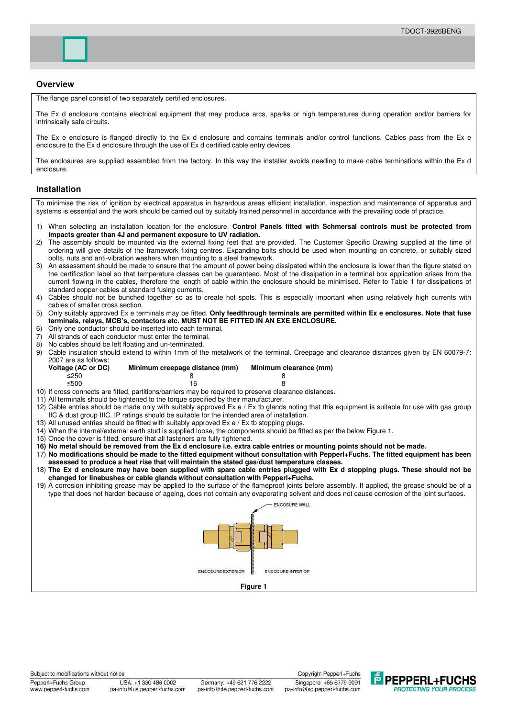### **Overview**

The flange panel consist of two separately certified enclosures.

The Ex d enclosure contains electrical equipment that may produce arcs, sparks or high temperatures during operation and/or barriers for intrinsically safe circuits.

The Ex e enclosure is flanged directly to the Ex d enclosure and contains terminals and/or control functions. Cables pass from the Ex e enclosure to the Ex d enclosure through the use of Ex d certified cable entry devices.

The enclosures are supplied assembled from the factory. In this way the installer avoids needing to make cable terminations within the Ex d enclosure.

#### **Installation**

To minimise the risk of ignition by electrical apparatus in hazardous areas efficient installation, inspection and maintenance of apparatus and systems is essential and the work should be carried out by suitably trained personnel in accordance with the prevailing code of practice. 1) When selecting an installation location for the enclosure, **Control Panels fitted with Schmersal controls must be protected from impacts greater than 4J and permanent exposure to UV radiation.** 2) The assembly should be mounted via the external fixing feet that are provided. The Customer Specific Drawing supplied at the time of ordering will give details of the framework fixing centres. Expanding bolts should be used when mounting on concrete, or suitably sized bolts, nuts and anti-vibration washers when mounting to a steel framework. 3) An assessment should be made to ensure that the amount of power being dissipated within the enclosure is lower than the figure stated on the certification label so that temperature classes can be guaranteed. Most of the dissipation in a terminal box application arises from the current flowing in the cables, therefore the length of cable within the enclosure should be minimised. Refer to Table 1 for dissipations of standard copper cables at standard fusing currents. 4) Cables should not be bunched together so as to create hot spots. This is especially important when using relatively high currents with cables of smaller cross section. 5) Only suitably approved Ex e terminals may be fitted. **Only feedthrough terminals are permitted within Ex e enclosures. Note that fuse terminals, relays, MCB's, contactors etc. MUST NOT BE FITTED IN AN EXE ENCLOSURE.** 6) Only one conductor should be inserted into each terminal. 7) All strands of each conductor must enter the terminal. 8) No cables should be left floating and un-terminated.<br>9) Cable insulation should extend to within 1mm of the 9) Cable insulation should extend to within 1mm of the metalwork of the terminal. Creepage and clearance distances given by EN 60079-7: 2007 are as follows:<br>Voltage (AC or DC) **Minimum creepage distance (mm)** Minimum clearance (mm)  $\leq$ 250  $\leq$  8 8  $\leq$ 500 16 8 10) If cross connects are fitted, partitions/barriers may be required to preserve clearance distances. 11) All terminals should be tightened to the torque specified by their manufacturer. 12) Cable entries should be made only with suitably approved Ex e / Ex tb glands noting that this equipment is suitable for use with gas group IIC & dust group IIIC. IP ratings should be suitable for the intended area of installation. 13) All unused entries should be fitted with suitably approved Ex e / Ex tb stopping plugs. 14) When the internal/external earth stud is supplied loose, the components should be fitted as per the below Figure 1. 15) Once the cover is fitted, ensure that all fasteners are fully tightened. **16) No metal should be removed from the Ex d enclosure i.e. extra cable entries or mounting points should not be made.**  17) **No modifications should be made to the fitted equipment without consultation with Pepperl+Fuchs. The fitted equipment has been assessed to produce a heat rise that will maintain the stated gas/dust temperature classes.** 18) **The Ex d enclosure may have been supplied with spare cable entries plugged with Ex d stopping plugs. These should not be changed for linebushes or cable glands without consultation with Pepperl+Fuchs.** 19) A corrosion inhibiting grease may be applied to the surface of the flameproof joints before assembly. If applied, the grease should be of a type that does not harden because of ageing, does not contain any evaporating solvent and does not cause corrosion of the joint surfaces. **ENCOSURE WALL** ENCOSURE EXTERIOR **ENCOSURE INTERIOR Figure 1** 

www.pepperl-fuchs.com

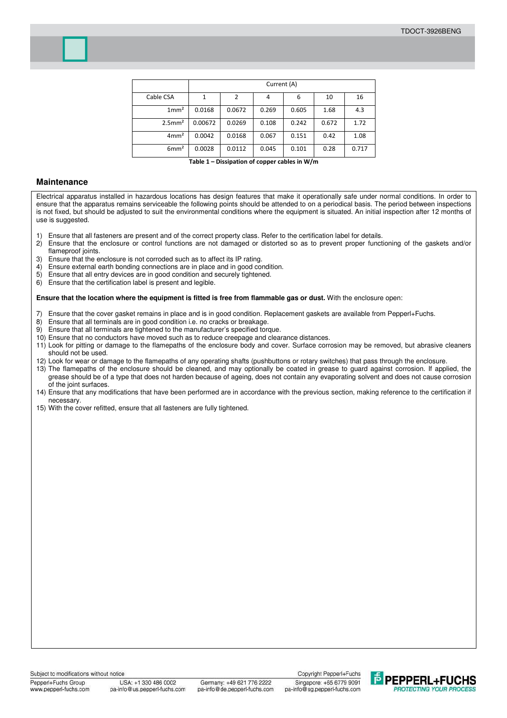

**Table 1 – Dissipation of copper cables in W/m** 

## **Maintenance**

Electrical apparatus installed in hazardous locations has design features that make it operationally safe under normal conditions. In order to ensure that the apparatus remains serviceable the following points should be attended to on a periodical basis. The period between inspections is not fixed, but should be adjusted to suit the environmental conditions where the equipment is situated. An initial inspection after 12 months of use is suggested.

- 1) Ensure that all fasteners are present and of the correct property class. Refer to the certification label for details.
- 2) Ensure that the enclosure or control functions are not damaged or distorted so as to prevent proper functioning of the gaskets and/or flameproof joints.
- 3) Ensure that the enclosure is not corroded such as to affect its IP rating.
- 4) Ensure external earth bonding connections are in place and in good condition.
- 5) Ensure that all entry devices are in good condition and securely tightened.
- 6) Ensure that the certification label is present and legible.

#### **Ensure that the location where the equipment is fitted is free from flammable gas or dust.** With the enclosure open:

- 7) Ensure that the cover gasket remains in place and is in good condition. Replacement gaskets are available from Pepperl+Fuchs.<br>8) Ensure that all terminals are in good condition i.e. no cracks or breakage.
- 8) Ensure that all terminals are in good condition i.e. no cracks or breakage.<br>9) Ensure that all terminals are tightened to the manufacturer's specified form
- Ensure that all terminals are tightened to the manufacturer's specified torque.
- 10) Ensure that no conductors have moved such as to reduce creepage and clearance distances.
- 11) Look for pitting or damage to the flamepaths of the enclosure body and cover. Surface corrosion may be removed, but abrasive cleaners should not be used.
- 12) Look for wear or damage to the flamepaths of any operating shafts (pushbuttons or rotary switches) that pass through the enclosure.
- 13) The flamepaths of the enclosure should be cleaned, and may optionally be coated in grease to guard against corrosion. If applied, the grease should be of a type that does not harden because of ageing, does not contain any evaporating solvent and does not cause corrosion of the joint surfaces.
- 14) Ensure that any modifications that have been performed are in accordance with the previous section, making reference to the certification if necessary.
- 15) With the cover refitted, ensure that all fasteners are fully tightened.